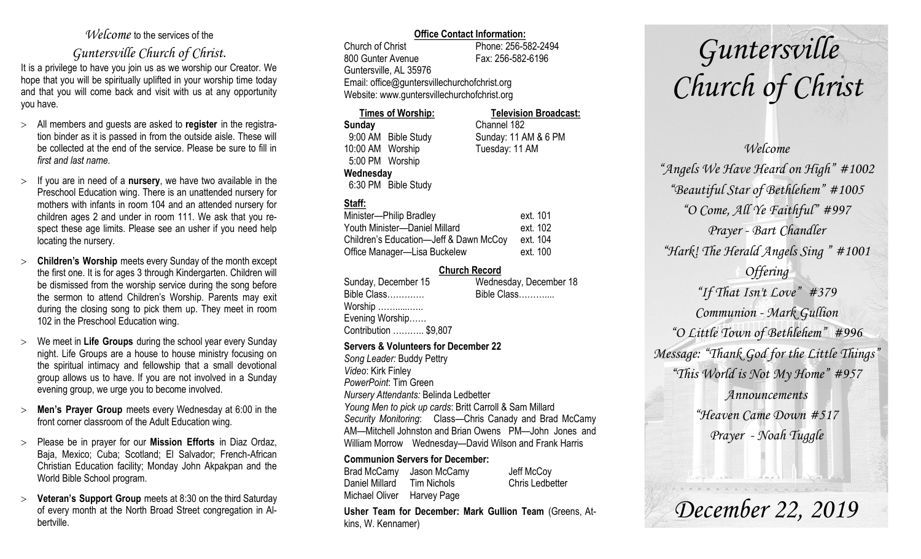## *Welcome* to the services of the

## *Guntersville Church of Christ*.

It is a privilege to have you join us as we worship our Creator. We hope that you will be spiritually uplifted in your worship time today and that you will come back and visit with us at any opportunity you have.

- All members and guests are asked to **register** in the registration binder as it is passed in from the outside aisle. These will be collected at the end of the service. Please be sure to fill in *first and last name*.
- $\geq$  If you are in need of a **nursery**, we have two available in the Preschool Education wing. There is an unattended nursery for mothers with infants in room 104 and an attended nursery for children ages 2 and under in room 111. We ask that you respect these age limits. Please see an usher if you need help locating the nursery.
- **Children's Worship** meets every Sunday of the month except the first one. It is for ages 3 through Kindergarten. Children will be dismissed from the worship service during the song before the sermon to attend Children's Worship. Parents may exit during the closing song to pick them up. They meet in room 102 in the Preschool Education wing.
- We meet in **Life Groups** during the school year every Sunday night. Life Groups are a house to house ministry focusing on the spiritual intimacy and fellowship that a small devotional group allows us to have. If you are not involved in a Sunday evening group, we urge you to become involved.
- **Men's Prayer Group** meets every Wednesday at 6:00 in the front corner classroom of the Adult Education wing.
- Please be in prayer for our **Mission Efforts** in Diaz Ordaz, Baja, Mexico; Cuba; Scotland; El Salvador; French-African Christian Education facility; Monday John Akpakpan and the World Bible School program.
- **Veteran's Support Group** meets at 8:30 on the third Saturday of every month at the North Broad Street congregation in Albertville.

#### **Office Contact Information:**

Church of Christ Phone: 256-582-2494 800 Gunter Avenue Fax: 256-582-6196 Guntersville, AL 35976 Email: office@guntersvillechurchofchrist.org Website: www.guntersvillechurchofchrist.org

#### **Times of Worship: Television Broadcast: Sunday** Channel 182 9:00 AM Bible Study Sunday: 11 AM & 6 PM 10:00 AM Worship Tuesday: 11 AM

 5:00 PM Worship **Wednesday**

6:30 PM Bible Study

## **Staff:**

| Minister-Philip Bradley                | ext. 101 |
|----------------------------------------|----------|
| Youth Minister-Daniel Millard          | ext. 102 |
| Children's Education-Jeff & Dawn McCoy | ext. 104 |
| Office Manager-Lisa Buckelew           | ext. 100 |

#### **Church Record**

| Sunday, December 15   | Wednesday, December 18 |
|-----------------------|------------------------|
| Bible Class           | Bible Class            |
| Worship               |                        |
| Evening Worship       |                        |
| Contribution  \$9,807 |                        |
|                       |                        |

#### **Servers & Volunteers for December 22**

*Song Leader:* Buddy Pettry *Video*: Kirk Finley *PowerPoint*: Tim Green *Nursery Attendants:* Belinda Ledbetter *Young Men to pick up cards*: Britt Carroll & Sam Millard *Security Monitoring*: Class—Chris Canady and Brad McCamy AM—Mitchell Johnston and Brian Owens PM—John Jones and William Morrow Wednesday—David Wilson and Frank Harris

#### **Communion Servers for December:**

Brad McCamy Jason McCamy Jeff McCoy Daniel Millard Tim Nichols Chris Ledbetter Michael Oliver Harvey Page

**Usher Team for December: Mark Gullion Team** (Greens, Atkins, W. Kennamer)

# *Guntersville Church of Christ*

## *Welcome "Angels We Have Heard on High" #1002 "Beautiful Star of Bethlehem" #1005 "O Come, All Ye Faithful" #997 Prayer - Bart Chandler "Hark! The Herald Angels Sing " #1001 Offering "If That Isn't Love" #379 Communion - Mark Gullion "O Little Town of Bethlehem" #996 Message: "Thank God for the Little Things" "This World is Not My Home" #957 Announcements "Heaven Came Down #517 Prayer - Noah Tuggle*

*December 22, 2019*